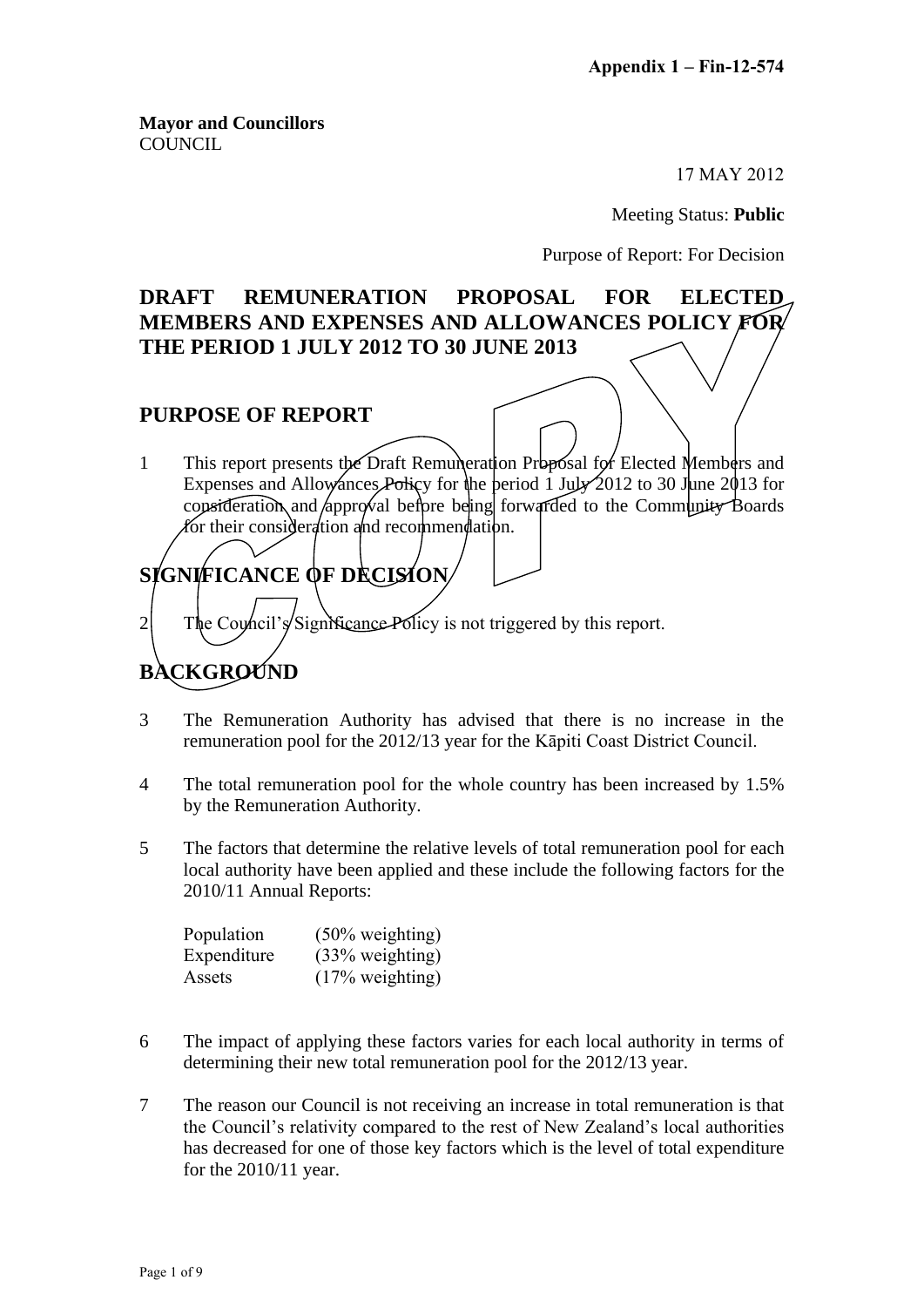**Mayor and Councillors COUNCIL** 

17 MAY 2012

Meeting Status: **Public**

Purpose of Report: For Decision

## **DRAFT REMUNERATION PROPOSAL FOR ELECTED MEMBERS AND EXPENSES AND ALLOWANCES POLICY FOR THE PERIOD 1 JULY 2012 TO 30 JUNE 2013**

### **PURPOSE OF REPORT**

1 This report presents the Draft Remuneration Proposal for Elected Members and Expenses and Allowances Policy for the period 1 July 2012 to 30 June 2013 for consideration and *approval* before being forwarded to the Community Boards for their consideration and recommendation.

# **SIGNIFICANCE OF DECISION**

2 The Council's Significance Policy is not triggered by this report.

## **BACKGROUND**

- 3 The Remuneration Authority has advised that there is no increase in the remuneration pool for the 2012/13 year for the Kāpiti Coast District Council.
- 4 The total remuneration pool for the whole country has been increased by 1.5% by the Remuneration Authority.
- 5 The factors that determine the relative levels of total remuneration pool for each local authority have been applied and these include the following factors for the 2010/11 Annual Reports:

| Population  | $(50\% \text{ weighting})$ |
|-------------|----------------------------|
| Expenditure | $(33\% \text{ weighting})$ |
| Assets      | $(17\% \text{ weighting})$ |

- 6 The impact of applying these factors varies for each local authority in terms of determining their new total remuneration pool for the 2012/13 year.
- 7 The reason our Council is not receiving an increase in total remuneration is that the Council's relativity compared to the rest of New Zealand's local authorities has decreased for one of those key factors which is the level of total expenditure for the 2010/11 year.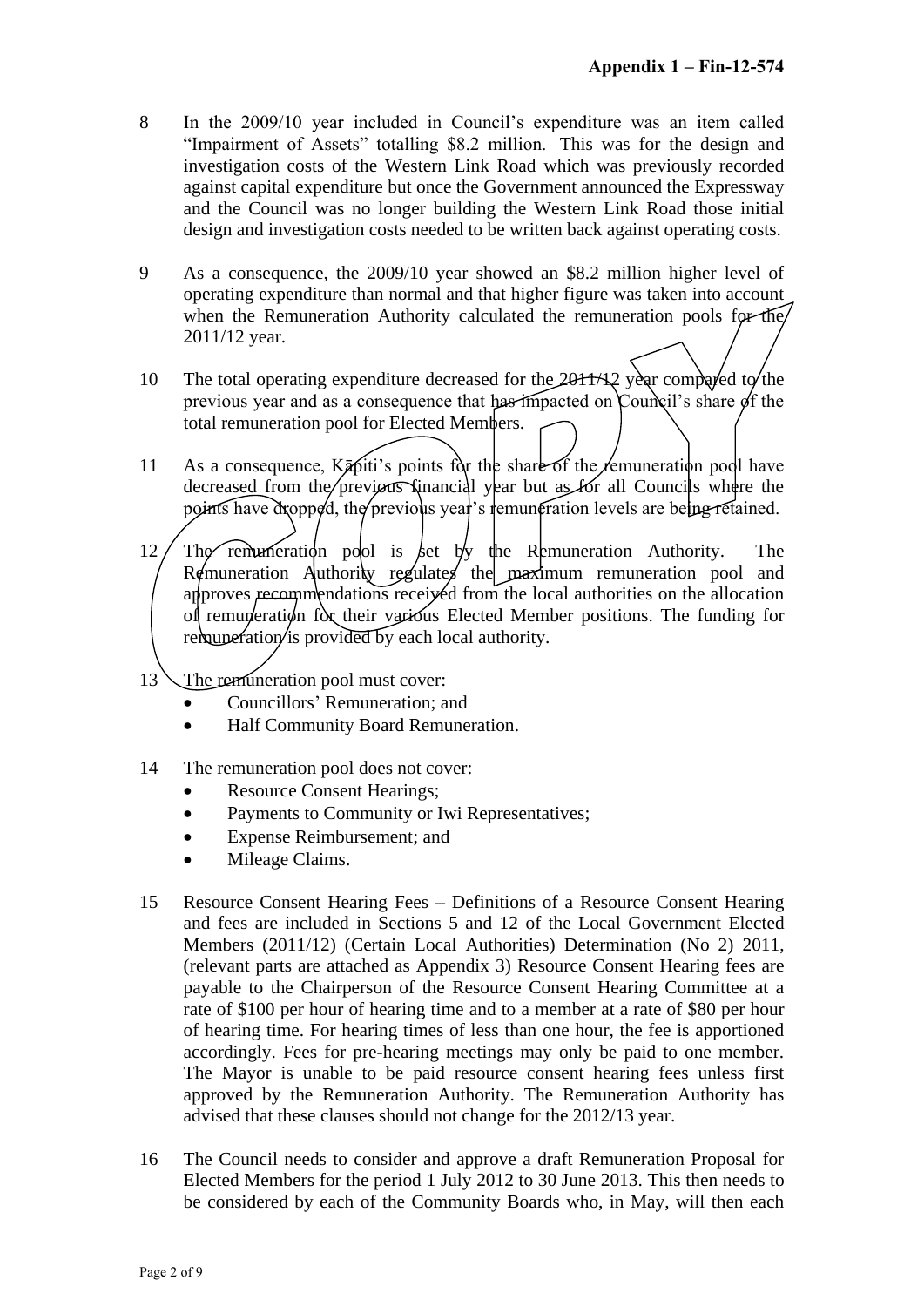- 8 In the 2009/10 year included in Council's expenditure was an item called "Impairment of Assets" totalling \$8.2 million. This was for the design and investigation costs of the Western Link Road which was previously recorded against capital expenditure but once the Government announced the Expressway and the Council was no longer building the Western Link Road those initial design and investigation costs needed to be written back against operating costs.
- 9 As a consequence, the 2009/10 year showed an \$8.2 million higher level of operating expenditure than normal and that higher figure was taken into account when the Remuneration Authority calculated the remuneration pools for the 2011/12 year.
- 10 The total operating expenditure decreased for the 2011/12 year compared to the previous year and as a consequence that has impacted on Council's share of the total remuneration pool for Elected Members.
- 11 As a consequence,  $K\bar{z}$  points for the share of the *femuneration* pool have decreased from the previous financial year but as for all Councils where the points have dropped, the previous year's remuneration levels are being retained.
- 12 The remuneration pool is set by the Remuneration Authority. The Remuneration Authority regulates the maximum remuneration pool and approves recommendations received from the local authorities on the allocation of remuneration for their various Elected Member positions. The funding for remuneration is provided by each local authority.
- 13 The remuneration pool must cover:
	- Councillors' Remuneration; and
	- Half Community Board Remuneration.
- 14 The remuneration pool does not cover:
	- Resource Consent Hearings;
	- Payments to Community or Iwi Representatives;
	- Expense Reimbursement; and
	- Mileage Claims.
- 15 Resource Consent Hearing Fees Definitions of a Resource Consent Hearing and fees are included in Sections 5 and 12 of the Local Government Elected Members (2011/12) (Certain Local Authorities) Determination (No 2) 2011, (relevant parts are attached as Appendix 3) Resource Consent Hearing fees are payable to the Chairperson of the Resource Consent Hearing Committee at a rate of \$100 per hour of hearing time and to a member at a rate of \$80 per hour of hearing time. For hearing times of less than one hour, the fee is apportioned accordingly. Fees for pre-hearing meetings may only be paid to one member. The Mayor is unable to be paid resource consent hearing fees unless first approved by the Remuneration Authority. The Remuneration Authority has advised that these clauses should not change for the 2012/13 year.
- 16 The Council needs to consider and approve a draft Remuneration Proposal for Elected Members for the period 1 July 2012 to 30 June 2013. This then needs to be considered by each of the Community Boards who, in May, will then each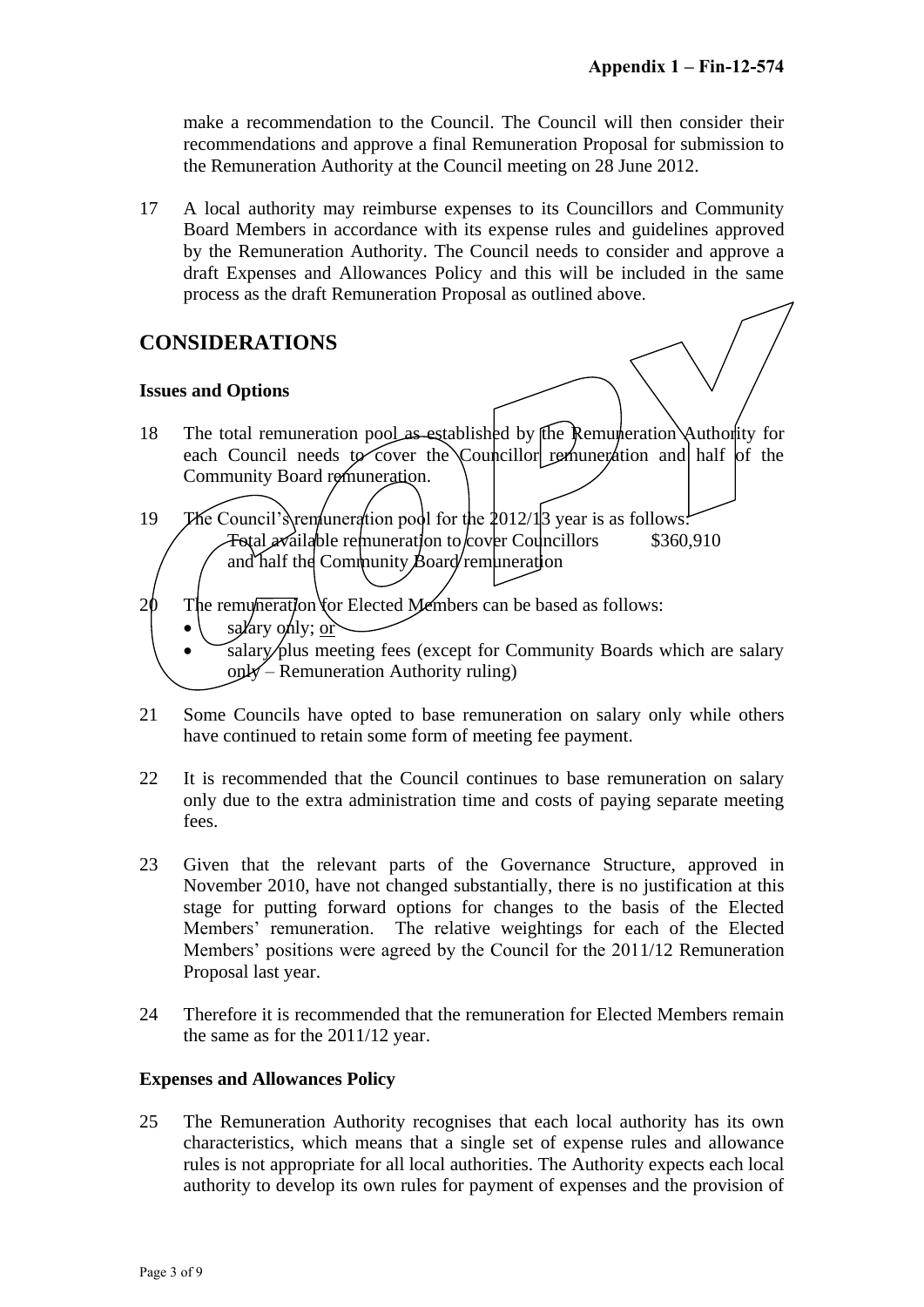make a recommendation to the Council. The Council will then consider their recommendations and approve a final Remuneration Proposal for submission to the Remuneration Authority at the Council meeting on 28 June 2012.

17 A local authority may reimburse expenses to its Councillors and Community Board Members in accordance with its expense rules and guidelines approved by the Remuneration Authority. The Council needs to consider and approve a draft Expenses and Allowances Policy and this will be included in the same process as the draft Remuneration Proposal as outlined above.

## **CONSIDERATIONS**

#### **Issues and Options**

- 18 The total remuneration pool as established by the Remuneration Authority for each Council needs to cover the Councillor remuneration and half of the Community Board remuneration.
- 19 The Council's remuneration pool for the  $2012/13$  year is as follows:  $\text{Total } x$ ailable remuneration to cover Councillors and half the Community Board remuneration \$360,910
- $2\theta$  The remumeration for Elected Members can be based as follows:
	- salary only;  $or'$
	- salary/plus meeting fees (except for Community Boards which are salary only – Remuneration Authority ruling)
- 21 Some Councils have opted to base remuneration on salary only while others have continued to retain some form of meeting fee payment.
- 22 It is recommended that the Council continues to base remuneration on salary only due to the extra administration time and costs of paying separate meeting fees.
- 23 Given that the relevant parts of the Governance Structure, approved in November 2010, have not changed substantially, there is no justification at this stage for putting forward options for changes to the basis of the Elected Members' remuneration. The relative weightings for each of the Elected Members' positions were agreed by the Council for the 2011/12 Remuneration Proposal last year.
- 24 Therefore it is recommended that the remuneration for Elected Members remain the same as for the 2011/12 year.

#### **Expenses and Allowances Policy**

25 The Remuneration Authority recognises that each local authority has its own characteristics, which means that a single set of expense rules and allowance rules is not appropriate for all local authorities. The Authority expects each local authority to develop its own rules for payment of expenses and the provision of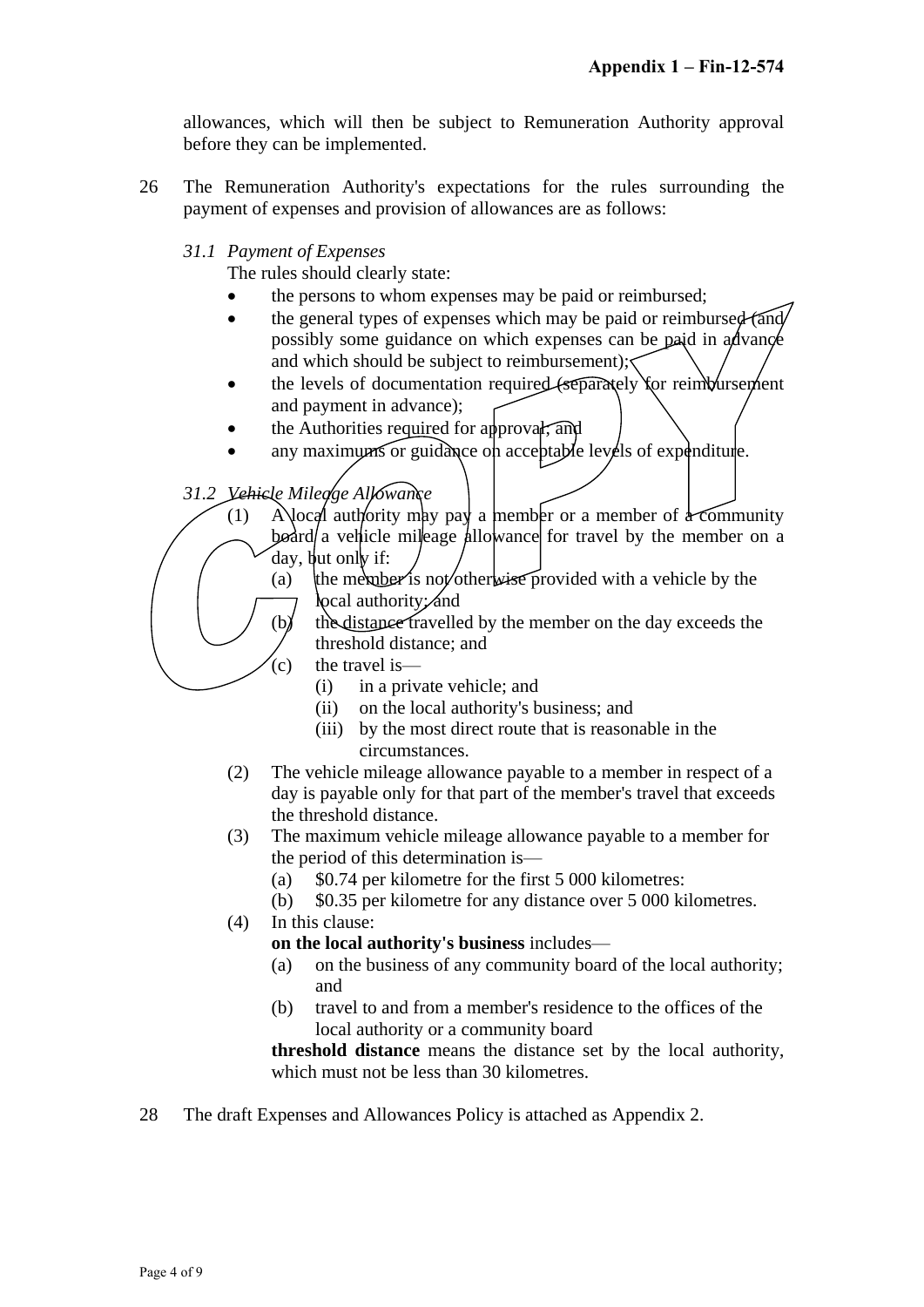allowances, which will then be subject to Remuneration Authority approval before they can be implemented.

- 26 The Remuneration Authority's expectations for the rules surrounding the payment of expenses and provision of allowances are as follows:
	- *31.1 Payment of Expenses*

The rules should clearly state:

- the persons to whom expenses may be paid or reimbursed;
- $\bullet$  the general types of expenses which may be paid or reimbursed (and) possibly some guidance on which expenses can be paid in advance and which should be subject to reimbursement);
- $\bullet$  the levels of documentation required (separately for reimbursement and payment in advance);
- the Authorities required for approval; and
- any maximums or guidance on acceptable levels of expenditure.

*31.2 Vehicle Mileage Allowance*

- (1) A local authority may pay a member or a member of a community  $\beta$ board a vehicle mileage allowance for travel by the member on a day, but only if:
	- (a) the member is not/otherwise provided with a vehicle by the **local authority; and**
	- $(b)$  the distance travelled by the member on the day exceeds the threshold distance; and
	- $(c)$  the travel is—
		- (i) in a private vehicle; and
		- (ii) on the local authority's business; and
		- (iii) by the most direct route that is reasonable in the circumstances.
- (2) The vehicle mileage allowance payable to a member in respect of a day is payable only for that part of the member's travel that exceeds the threshold distance.
- (3) The maximum vehicle mileage allowance payable to a member for the period of this determination is—
	- (a) \$0.74 per kilometre for the first 5 000 kilometres:
	- (b) \$0.35 per kilometre for any distance over 5 000 kilometres.
- (4) In this clause:
	- **on the local authority's business** includes—
	- (a) on the business of any community board of the local authority; and
	- (b) travel to and from a member's residence to the offices of the local authority or a community board

**threshold distance** means the distance set by the local authority, which must not be less than 30 kilometres.

28 The draft Expenses and Allowances Policy is attached as Appendix 2.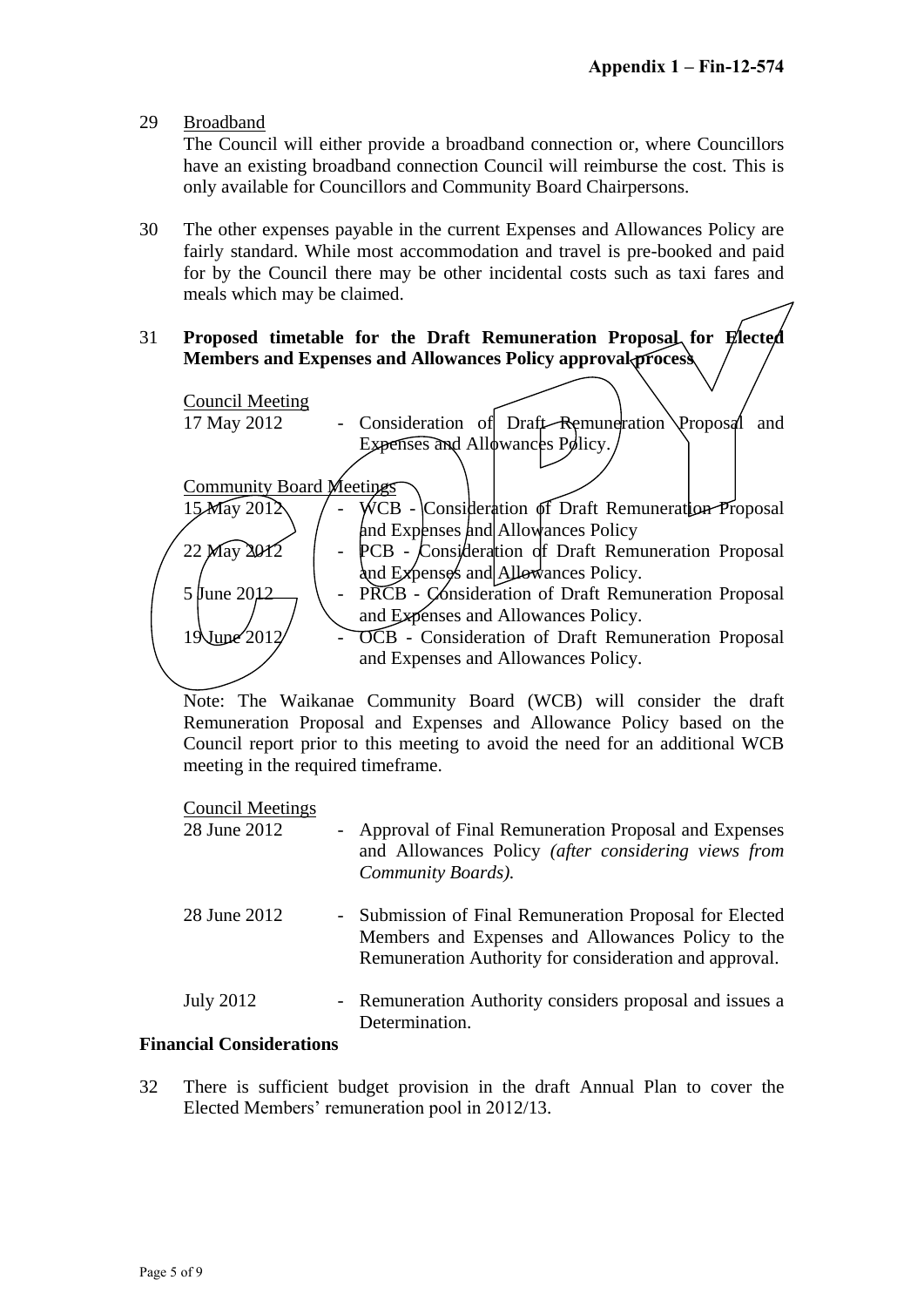29 Broadband

The Council will either provide a broadband connection or, where Councillors have an existing broadband connection Council will reimburse the cost. This is only available for Councillors and Community Board Chairpersons.

- 30 The other expenses payable in the current Expenses and Allowances Policy are fairly standard. While most accommodation and travel is pre-booked and paid for by the Council there may be other incidental costs such as taxi fares and meals which may be claimed.
- 31 **Proposed timetable for the Draft Remuneration Proposal for Elected Members and Expenses and Allowances Policy approval process**



Note: The Waikanae Community Board (WCB) will consider the draft Remuneration Proposal and Expenses and Allowance Policy based on the Council report prior to this meeting to avoid the need for an additional WCB meeting in the required timeframe.

Council Meetings

| 28 June 2012     | - Approval of Final Remuneration Proposal and Expenses<br>and Allowances Policy (after considering views from<br>Community Boards).                                    |
|------------------|------------------------------------------------------------------------------------------------------------------------------------------------------------------------|
| 28 June 2012     | - Submission of Final Remuneration Proposal for Elected<br>Members and Expenses and Allowances Policy to the<br>Remuneration Authority for consideration and approval. |
| <b>July 2012</b> | - Remuneration Authority considers proposal and issues a<br>Determination.                                                                                             |

#### **Financial Considerations**

32 There is sufficient budget provision in the draft Annual Plan to cover the Elected Members' remuneration pool in 2012/13.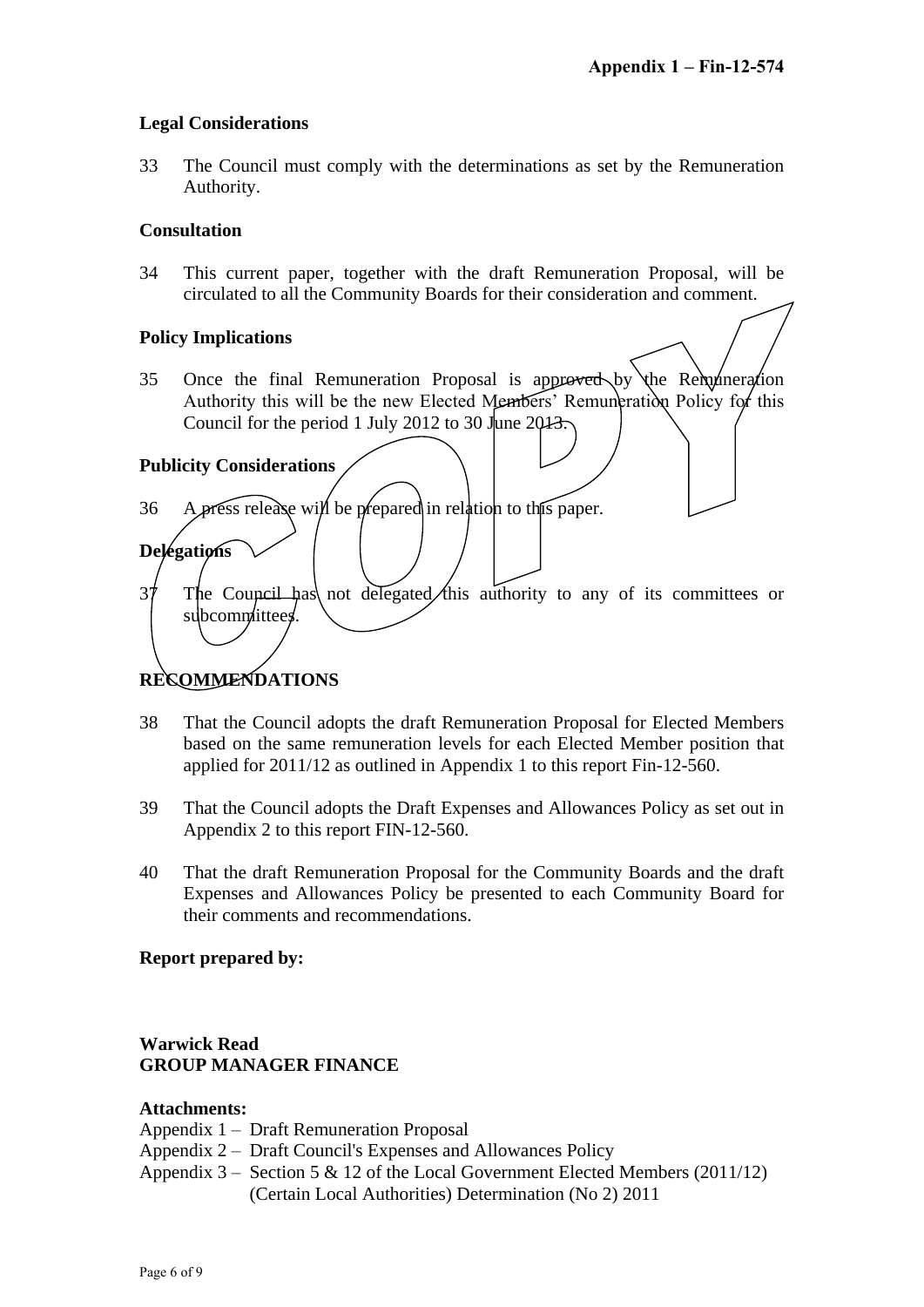#### **Legal Considerations**

33 The Council must comply with the determinations as set by the Remuneration Authority.

#### **Consultation**

34 This current paper, together with the draft Remuneration Proposal, will be circulated to all the Community Boards for their consideration and comment.

#### **Policy Implications**

35 Once the final Remuneration Proposal is approved by the Remuneration Authority this will be the new Elected Members' Remuneration Policy for this Council for the period 1 July 2012 to 30 June 2013.

#### **Publicity Considerations**

**Delegations**

- 36 A press release will be prepared in relation to this paper.
- $37$  The Council has not delegated this authority to any of its committees or subcommittees.

## **RECOMMENDATIONS**

- 38 That the Council adopts the draft Remuneration Proposal for Elected Members based on the same remuneration levels for each Elected Member position that applied for 2011/12 as outlined in Appendix 1 to this report Fin-12-560.
- 39 That the Council adopts the Draft Expenses and Allowances Policy as set out in Appendix 2 to this report FIN-12-560.
- 40 That the draft Remuneration Proposal for the Community Boards and the draft Expenses and Allowances Policy be presented to each Community Board for their comments and recommendations.

#### **Report prepared by:**

#### **Warwick Read GROUP MANAGER FINANCE**

#### **Attachments:**

Appendix 1 – Draft Remuneration Proposal

- Appendix 2 Draft Council's Expenses and Allowances Policy
- Appendix  $3 -$  Section 5 & 12 of the Local Government Elected Members (2011/12) (Certain Local Authorities) Determination (No 2) 2011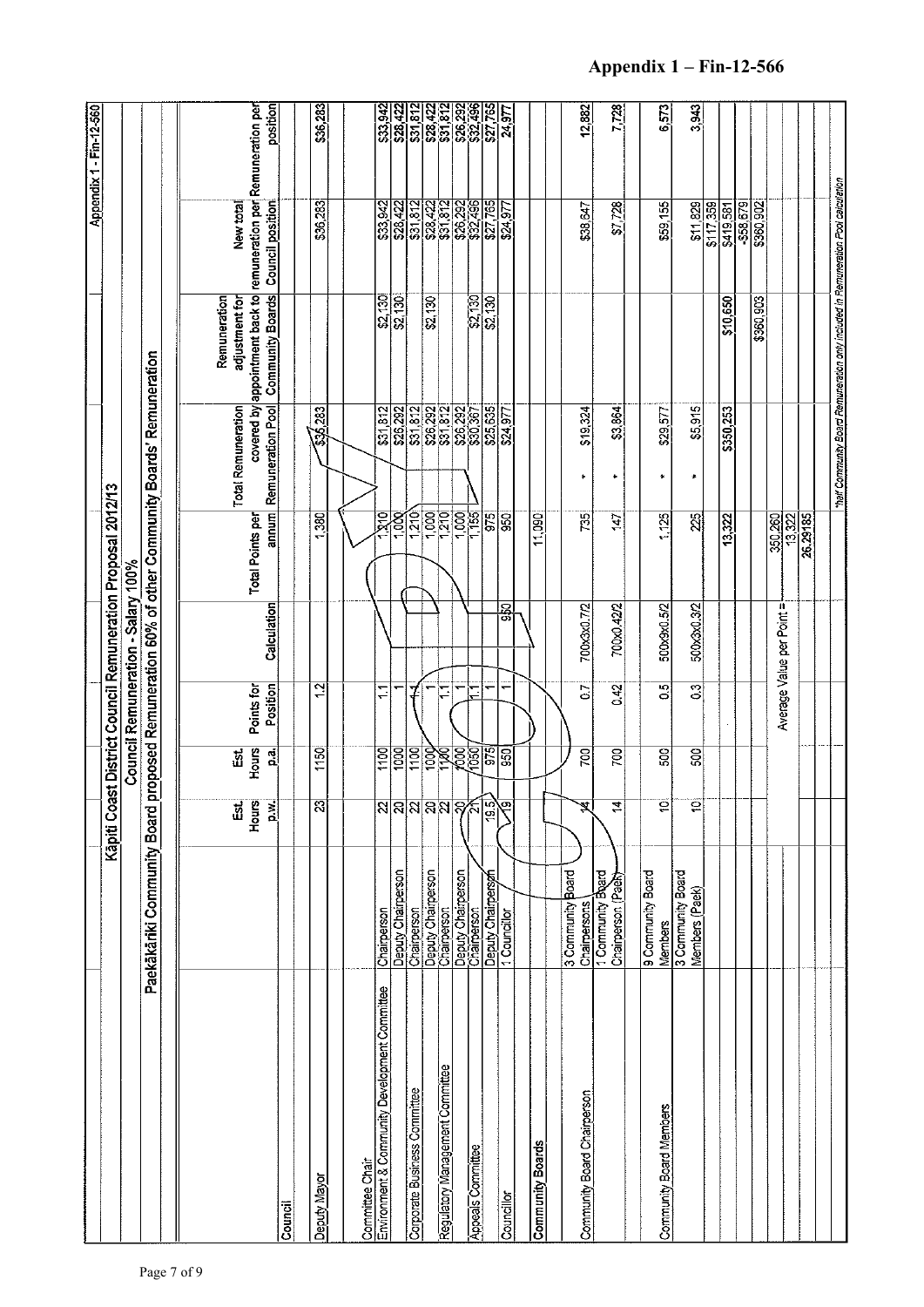|                                                                  |                                        |                           |                   |                          |                                    |                                                             |                                                                   |                                                                                  |                                                                                                                       | Appendix 1 - Fin-12-560                                                                         |
|------------------------------------------------------------------|----------------------------------------|---------------------------|-------------------|--------------------------|------------------------------------|-------------------------------------------------------------|-------------------------------------------------------------------|----------------------------------------------------------------------------------|-----------------------------------------------------------------------------------------------------------------------|-------------------------------------------------------------------------------------------------|
|                                                                  |                                        |                           |                   |                          |                                    | Kapiti Coast District Council Remuneration Proposal 2012/13 |                                                                   |                                                                                  |                                                                                                                       |                                                                                                 |
|                                                                  |                                        |                           |                   |                          | Council Remuneration - Salary 100% |                                                             |                                                                   |                                                                                  |                                                                                                                       |                                                                                                 |
|                                                                  | Paekākāriki Community Board            |                           |                   |                          |                                    |                                                             | proposed Remuneration 60% of other Community Boards' Remuneration |                                                                                  |                                                                                                                       |                                                                                                 |
|                                                                  |                                        |                           |                   |                          |                                    |                                                             |                                                                   |                                                                                  |                                                                                                                       |                                                                                                 |
|                                                                  |                                        | <u>ដើ</u>                 | Ëš.               |                          |                                    |                                                             | <b>Total Remuneration</b>                                         | Remuneration<br>adjustment for                                                   | New total                                                                                                             |                                                                                                 |
|                                                                  |                                        | Hours<br>$\sum_{i=1}^{n}$ | Hours<br>្លុ      | Position<br>Points for   | Calculation                        | annum<br>Total Points per                                   | Remuneration Pool                                                 | covered by appointment back to<br><b>Community Boards</b>                        | <b>Council position</b>                                                                                               | position<br>remuneration per Remuneration per                                                   |
| Council                                                          |                                        |                           |                   |                          |                                    |                                                             |                                                                   |                                                                                  |                                                                                                                       |                                                                                                 |
| Deputy Mayor                                                     |                                        | $\overline{3}$            | 1150              | <u>्य</u>                |                                    | 1,380                                                       | 536,283                                                           |                                                                                  | \$36,283                                                                                                              | \$36,283                                                                                        |
|                                                                  |                                        |                           |                   |                          |                                    |                                                             |                                                                   |                                                                                  |                                                                                                                       |                                                                                                 |
|                                                                  |                                        |                           |                   |                          |                                    |                                                             |                                                                   |                                                                                  |                                                                                                                       |                                                                                                 |
| Committee Chair<br>Environment & Community Development Committee | Chairperson                            |                           | $\overline{1100}$ | Ξ                        |                                    | য়ৰ                                                         | \$31,812                                                          |                                                                                  | \$33,942                                                                                                              |                                                                                                 |
|                                                                  | Deputy Chairperson                     | নি <mark>ন্নন</mark> মন্দ | 1000              |                          |                                    | $\frac{1}{200}$                                             | <u>ႜၛၟၛၛၟ</u><br>ၛၟႜၟ႞ၛၟၛၟၛၟ<br>ၜၟႜၛၛၟၛၟၛၟ                        | ន្ត្រីន្ត្រី<br>និង                                                              | ၛြက္ရက္ရြက္လြန္ကု<br>မြန္ကုမမိုင္ကုမမို႔<br>မြန္ကုမမို႔မို႔မို႔                                                       | ន្ត្រាជ្ញាជ្ញាជ្ញាន្ត្រាន្ត្រា<br>ន្ត្រីជ្ញាជ្ញាដ្ឋាន្ត្រី<br>ន្ត្រីដ្ឋាន្ត្រី ន្ត្រីដ្ឋាន្ត្រី |
| Corporate Business Committee                                     | Chairperson                            |                           | $rac{1}{2}$       |                          |                                    |                                                             |                                                                   |                                                                                  |                                                                                                                       |                                                                                                 |
|                                                                  | Deputy Chairperson<br>Chairperson      |                           |                   |                          |                                    | 1,000                                                       |                                                                   | \$2,130                                                                          |                                                                                                                       |                                                                                                 |
| Regulatory Management Committee                                  |                                        |                           |                   | Ξ                        |                                    | 1210                                                        |                                                                   |                                                                                  |                                                                                                                       |                                                                                                 |
|                                                                  | Deputy Chairperson<br>Chairperson      |                           |                   |                          |                                    | $\overline{1,000}$                                          |                                                                   |                                                                                  |                                                                                                                       |                                                                                                 |
| <b>Appeals Committee</b>                                         |                                        |                           |                   | F                        |                                    | $\frac{1}{1}$ 55                                            |                                                                   | $\frac{82,130}{82,130}$                                                          |                                                                                                                       |                                                                                                 |
|                                                                  | Deputy Chairperson                     | 認                         | 975               |                          |                                    | 975                                                         | \$25,635                                                          |                                                                                  | $\frac{1}{227,765}$                                                                                                   |                                                                                                 |
| Councillor                                                       |                                        |                           | ္ဘ                | $\overline{\phantom{0}}$ | 150<br>150                         | 950                                                         | \$24.977                                                          |                                                                                  | $\frac{24.977}{24.977}$                                                                                               |                                                                                                 |
|                                                                  |                                        |                           |                   |                          |                                    |                                                             |                                                                   |                                                                                  |                                                                                                                       |                                                                                                 |
| <b>Community Boards</b>                                          |                                        |                           |                   |                          |                                    | 11,090                                                      |                                                                   |                                                                                  |                                                                                                                       |                                                                                                 |
|                                                                  |                                        |                           |                   |                          |                                    |                                                             |                                                                   |                                                                                  |                                                                                                                       |                                                                                                 |
| Community Board Chairperson                                      | 3 Community Board<br>Chairpersons      | Ż,                        | 700               | $\overline{0}$           | 700x3x0.7/2                        | 735                                                         | \$19,324                                                          |                                                                                  | \$38,647                                                                                                              | 12,882                                                                                          |
|                                                                  | 1 Community Board<br>Chairperson (Paex | $\overline{14}$           | 700               | 0.42                     | 700x0.42/2                         | 147                                                         | \$3,864<br>$\bullet$                                              |                                                                                  | \$7728                                                                                                                | 7,728                                                                                           |
|                                                                  |                                        |                           |                   |                          |                                    |                                                             |                                                                   |                                                                                  |                                                                                                                       |                                                                                                 |
| Community Board Members                                          | 9 Community Board<br>Members           | ē                         | 500               | $\overline{S}$           | 500x9x0.5/2                        | 1,125                                                       | \$29,577<br>$\bullet$                                             |                                                                                  | \$59,155                                                                                                              | 6,573                                                                                           |
|                                                                  | 3 Community Board<br>Members (Paek)    | $\overline{\mathbf{c}}$   | 500               | S                        | 500x3x0.3/2                        | 25                                                          | \$5.915<br>$\star$                                                |                                                                                  | \$11829                                                                                                               | 3,943                                                                                           |
|                                                                  |                                        |                           |                   |                          |                                    |                                                             |                                                                   |                                                                                  |                                                                                                                       |                                                                                                 |
|                                                                  |                                        |                           |                   |                          |                                    | 13,322                                                      | \$350,253                                                         | \$10,650                                                                         |                                                                                                                       |                                                                                                 |
|                                                                  |                                        |                           |                   |                          |                                    |                                                             |                                                                   |                                                                                  |                                                                                                                       |                                                                                                 |
|                                                                  |                                        |                           |                   |                          |                                    |                                                             |                                                                   | \$360,903                                                                        | $\frac{\overline{817},\overline{359}}{8419,\overline{5879}}\\ \underline{-858,\overline{679}}\\ \underline{-858,502}$ |                                                                                                 |
|                                                                  |                                        |                           |                   |                          | Average Value per Point =          | 350,260                                                     |                                                                   |                                                                                  |                                                                                                                       |                                                                                                 |
|                                                                  |                                        |                           |                   |                          |                                    | 13,322                                                      |                                                                   |                                                                                  |                                                                                                                       |                                                                                                 |
|                                                                  |                                        |                           |                   |                          |                                    | 26,29185                                                    |                                                                   |                                                                                  |                                                                                                                       |                                                                                                 |
|                                                                  |                                        |                           |                   |                          |                                    |                                                             |                                                                   | that Community Board Remuneration only included in Remuneration Pool calculation |                                                                                                                       |                                                                                                 |
|                                                                  |                                        |                           |                   |                          |                                    |                                                             |                                                                   |                                                                                  |                                                                                                                       |                                                                                                 |

## **Appendix 1 – Fin-12-566**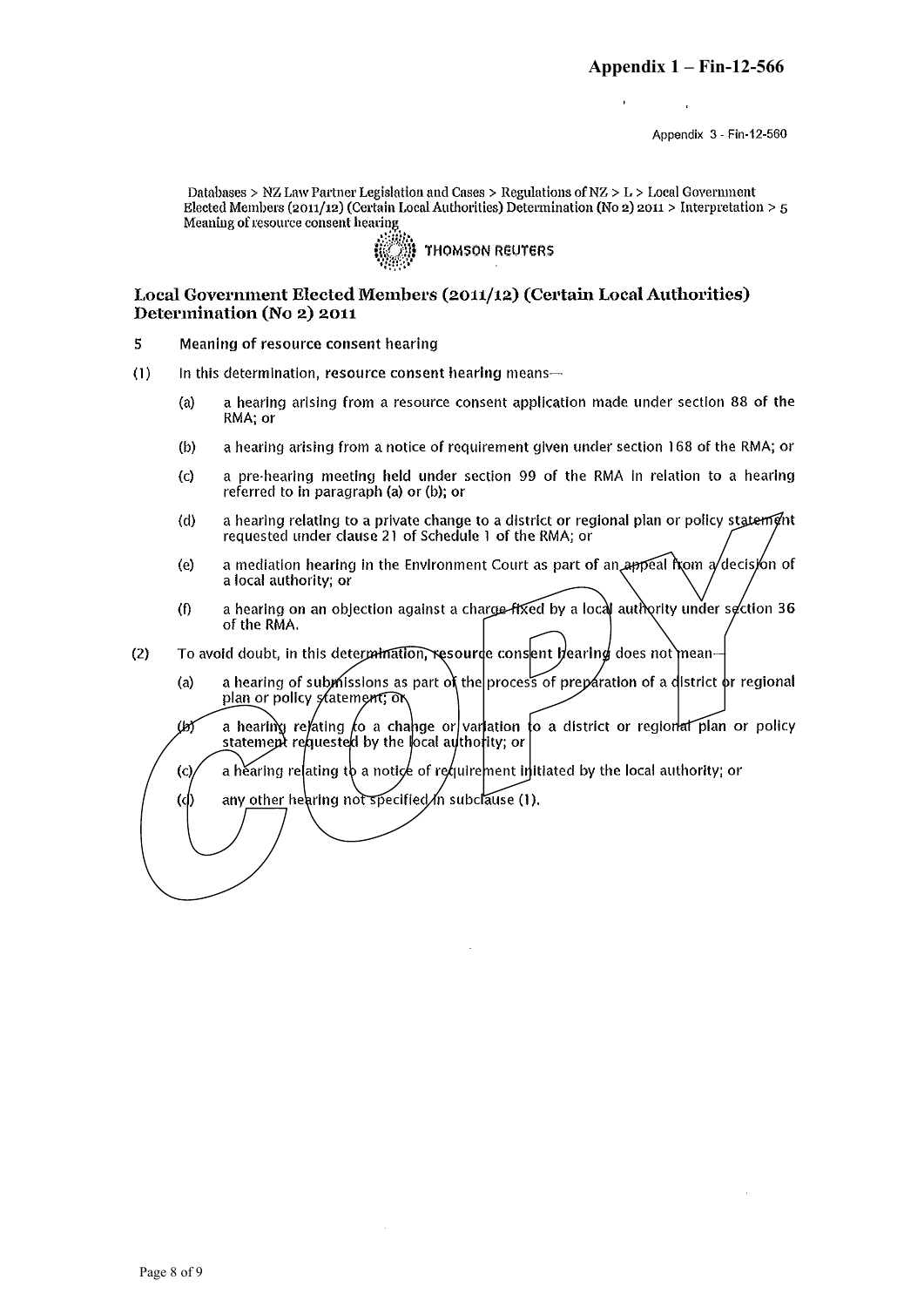Appendix 3 - Fin-12-560

Databases > NZ Law Partner Legislation and Cases > Regulations of  $NZ > L >$  Local Government Elected Members (2011/12) (Certain Local Authorities) Determination (No 2) 2011 > Interpretation > 5 Meaning of resource consent hearing



#### Local Government Elected Members (2011/12) (Certain Local Authorities) Determination (No 2) 2011

- 5 Meaning of resource consent hearing
- $(1)$ In this determination, resource consent hearing means
	- a hearing arising from a resource consent application made under section 88 of the  $(a)$ RMA; or
	- a hearing arising from a notice of requirement given under section 168 of the RMA; or  $(b)$
	- a pre-hearing meeting held under section 99 of the RMA in relation to a hearing  $(c)$ referred to in paragraph (a) or (b); or
	- a hearing relating to a private change to a district or regional plan or policy statement  $(d)$ requested under clause 21 of Schedule 1 of the RMA; or
	- a mediation hearing in the Environment Court as part of an appeal from  $a$  decision of  $(e)$ a local authority; or
	- a hearing on an objection against a charge-fixed by a local authority under section 36  $(f)$ of the RMA.
- To avoid doubt, in this determination, resource consent hearing does not mean- $(2)$ 
	- a hearing of submissions as part of the process of preparation of a district or regional  $(a)$ plan or policy statement; or
	- a hearting relating to a change or variation to a district or regional plan or policy  $\mu$ statement requested by the local authority; or
	- a hearing relating to a notice of requirement initiated by the local authority; or  $\rm (c)$
	- any other hearing not specified in subclause (1).  $(d)$